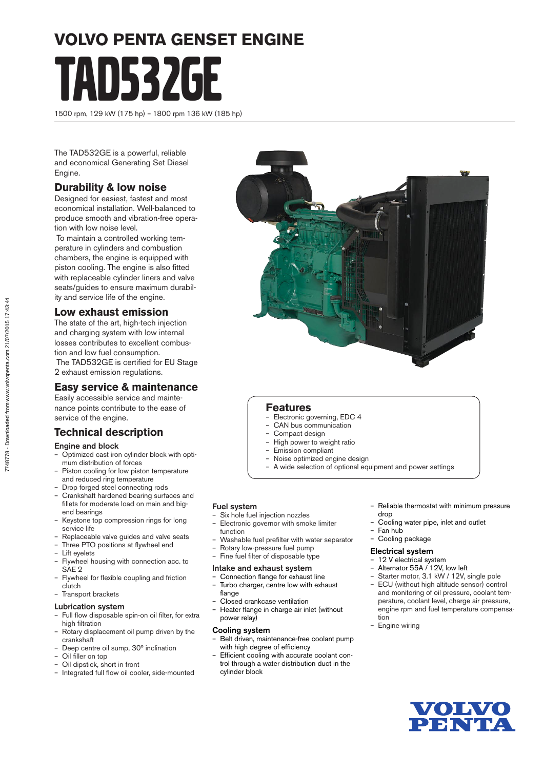# **VOLVO PENTA GENSET ENGINE**

TAD532GE

1500 rpm, 129 kW (175 hp) – 1800 rpm 136 kW (185 hp)

The TAD532GE is a powerful, reliable and economical Generating Set Diesel Engine.

# **Durability & low noise**

Designed for easiest, fastest and most economical installation. Well-balanced to produce smooth and vibration-free operation with low noise level.

 To maintain a controlled working temperature in cylinders and combustion chambers, the engine is equipped with piston cooling. The engine is also fitted with replaceable cylinder liners and valve seats/guides to ensure maximum durability and service life of the engine.

## **Low exhaust emission**

The state of the art, high-tech injection and charging system with low internal losses contributes to excellent combustion and low fuel consumption. The TAD532GE is certified for EU Stage 2 exhaust emission regulations.

# **Easy service & maintenance**

Easily accessible service and maintenance points contribute to the ease of service of the engine.

# **Technical description**

#### Engine and block

- Optimized cast iron cylinder block with optimum distribution of forces
- Piston cooling for low piston temperature and reduced ring temperature
- Drop forged steel connecting rods
- Crankshaft hardened bearing surfaces and fillets for moderate load on main and bigend bearings
- Keystone top compression rings for long service life
- Replaceable valve guides and valve seats
- Three PTO positions at flywheel end
- Lift eyelets
- Flywheel housing with connection acc. to SAE<sub>2</sub>
- Flywheel for flexible coupling and friction clutch
- Transport brackets
- Lubrication system
- Full flow disposable spin-on oil filter, for extra high filtration
- Rotary displacement oil pump driven by the crankshaft
- Deep centre oil sump, 30° inclination
- Oil filler on top – Oil dipstick, short in front
- Integrated full flow oil cooler, side-mounted



#### **Features**

- Electronic governing, EDC 4
- CAN bus communication
- Compact design
- High power to weight ratio
- Emission compliant
- Noise optimized engine design
- A wide selection of optional equipment and power settings

#### Fuel system

- Six hole fuel injection nozzles
- Electronic governor with smoke limiter function
- Washable fuel prefilter with water separator
- Rotary low-pressure fuel pump – Fine fuel filter of disposable type
- 

#### Intake and exhaust system

- Connection flange for exhaust line – Turbo charger, centre low with exhaust
- flange
- Closed crankcase ventilation
- Heater flange in charge air inlet (without power relay)

#### Cooling system

- Belt driven, maintenance-free coolant pump with high degree of efficiency
- Efficient cooling with accurate coolant control through a water distribution duct in the cylinder block
- Reliable thermostat with minimum pressure drop
- Cooling water pipe, inlet and outlet
- Fan hub
- Cooling package

#### Electrical system

- 12 V electrical system
- Alternator 55A / 12V, low left
- Starter motor, 3.1 kW / 12V, single pole
- ECU (without high altitude sensor) control and monitoring of oil pressure, coolant temperature, coolant level, charge air pressure, engine rpm and fuel temperature compensation
- Engine wiring